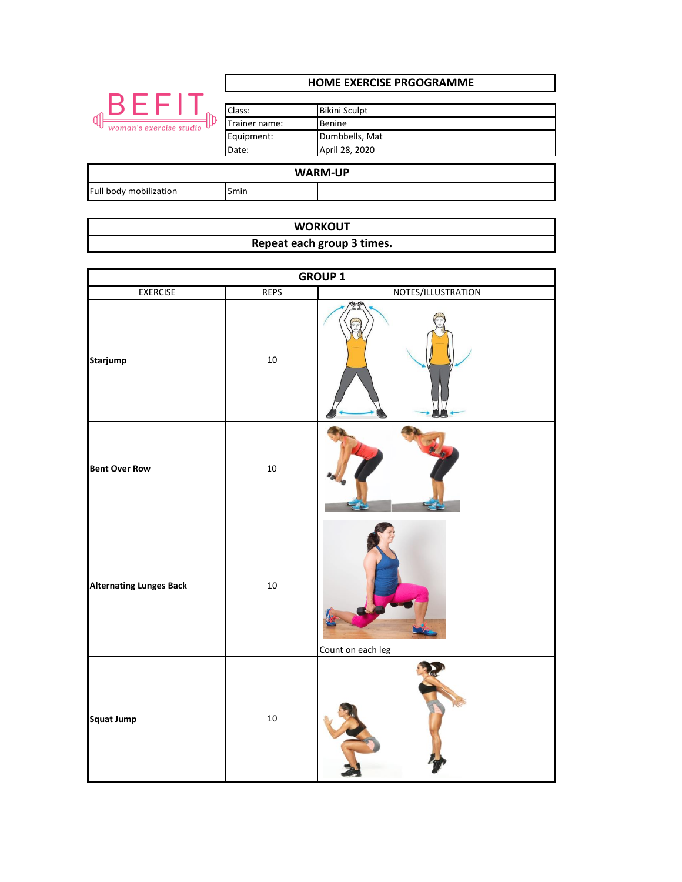|                                             | <b>HOME EXERCISE PRGOGRAMME</b> |                      |  |
|---------------------------------------------|---------------------------------|----------------------|--|
| BEFI<br><b>d</b><br>woman's exercise studio | Class:                          | <b>Bikini Sculpt</b> |  |
|                                             | Trainer name:                   | Benine               |  |
|                                             | Equipment:                      | Dumbbells, Mat       |  |
|                                             | Date:                           | April 28, 2020       |  |
|                                             |                                 |                      |  |
| <b>WARM-UP</b>                              |                                 |                      |  |
| Full body mobilization                      | 5 <sub>min</sub>                |                      |  |

| <b>WORKOUT</b>             |  |  |  |
|----------------------------|--|--|--|
| Repeat each group 3 times. |  |  |  |

| <b>GROUP 1</b>                 |             |                    |
|--------------------------------|-------------|--------------------|
| <b>EXERCISE</b>                | <b>REPS</b> | NOTES/ILLUSTRATION |
| <b>Starjump</b>                | $10\,$      |                    |
| <b>Bent Over Row</b>           | $10\,$      |                    |
| <b>Alternating Lunges Back</b> | 10          | Count on each leg  |
| <b>Squat Jump</b>              | $10\,$      |                    |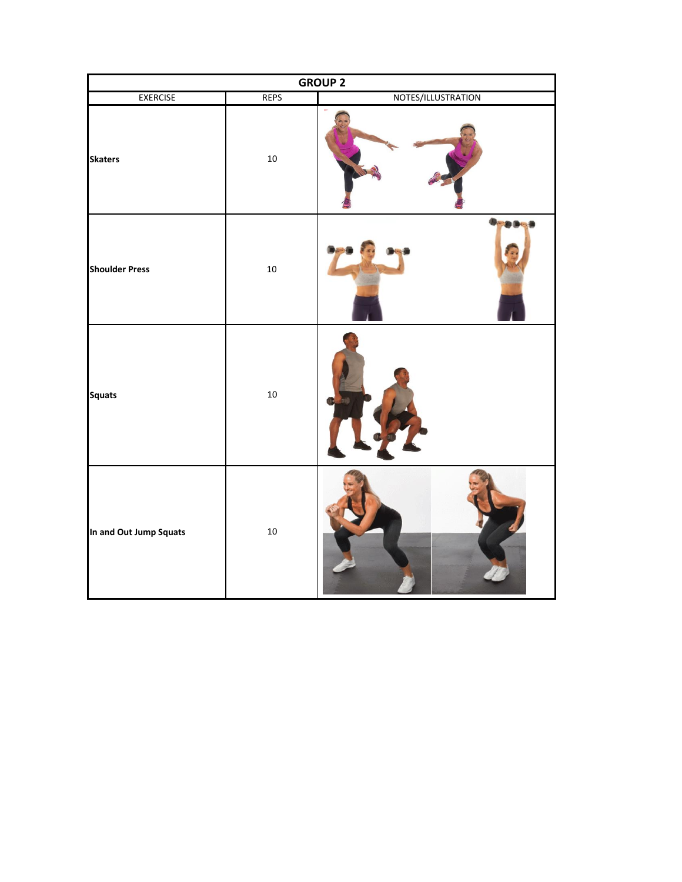| <b>GROUP 2</b>         |             |                    |
|------------------------|-------------|--------------------|
| <b>EXERCISE</b>        | <b>REPS</b> | NOTES/ILLUSTRATION |
| <b>Skaters</b>         | $10\,$      |                    |
| <b>Shoulder Press</b>  | 10          |                    |
| <b>Squats</b>          | $10\,$      |                    |
| In and Out Jump Squats | 10          |                    |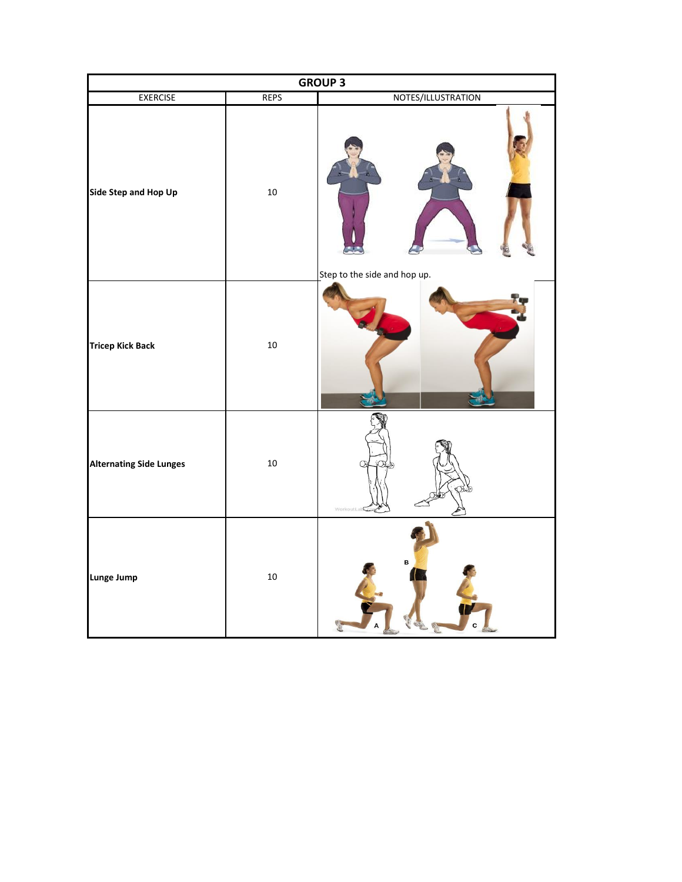| <b>GROUP 3</b>                 |             |                              |
|--------------------------------|-------------|------------------------------|
| <b>EXERCISE</b>                | <b>REPS</b> | NOTES/ILLUSTRATION           |
| Side Step and Hop Up           | $10\,$      | Step to the side and hop up. |
| <b>Tricep Kick Back</b>        | $10\,$      |                              |
| <b>Alternating Side Lunges</b> | $10\,$      | WorkoutLab                   |
| Lunge Jump                     | $10\,$      | B                            |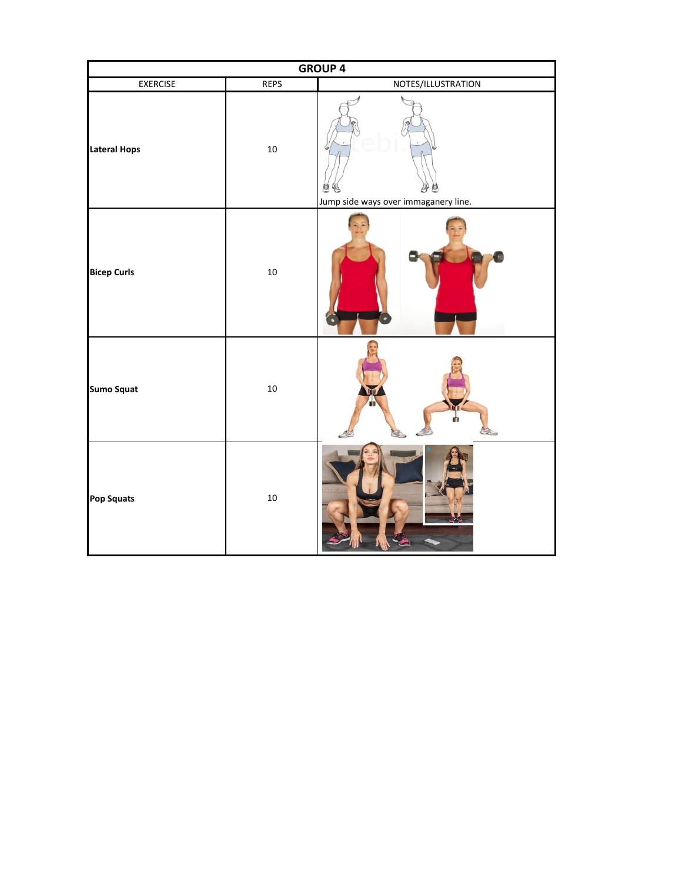| <b>GROUP 4</b>      |             |                                      |
|---------------------|-------------|--------------------------------------|
| <b>EXERCISE</b>     | <b>REPS</b> | NOTES/ILLUSTRATION                   |
| <b>Lateral Hops</b> | 10          | Jump side ways over immaganery line. |
| <b>Bicep Curls</b>  | 10          |                                      |
| <b>Sumo Squat</b>   | $10\,$      |                                      |
| Pop Squats          | 10          |                                      |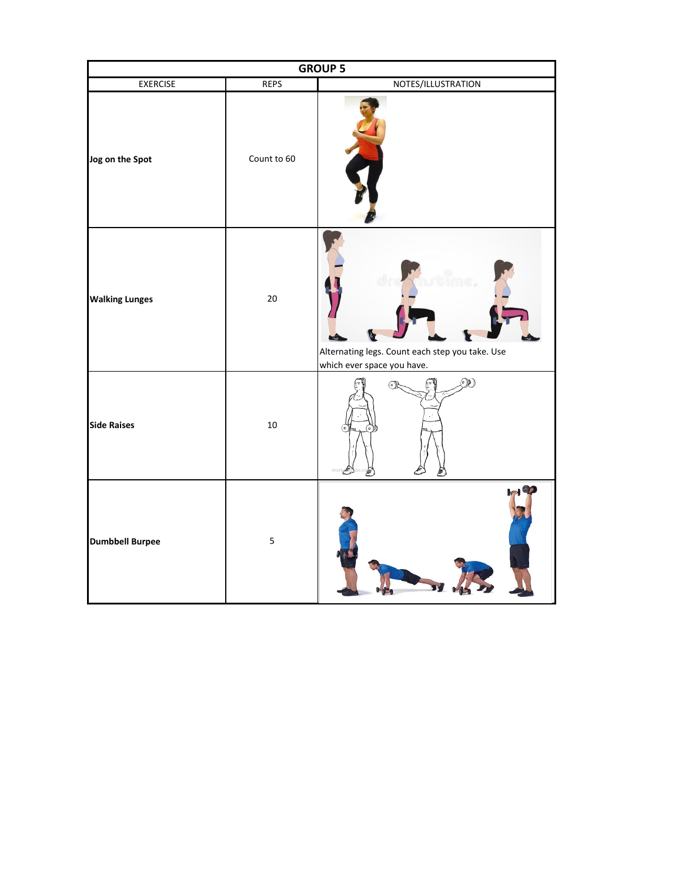| <b>GROUP 5</b>         |             |                                                                                         |
|------------------------|-------------|-----------------------------------------------------------------------------------------|
| <b>EXERCISE</b>        | <b>REPS</b> | NOTES/ILLUSTRATION                                                                      |
| Jog on the Spot        | Count to 60 |                                                                                         |
| <b>Walking Lunges</b>  | 20          | Ummeg.<br>Alternating legs. Count each step you take. Use<br>which ever space you have. |
| <b>Side Raises</b>     | $10\,$      | $\mathcal{O}(\mathbb{P})$<br>ௌ                                                          |
| <b>Dumbbell Burpee</b> | $\mathsf S$ |                                                                                         |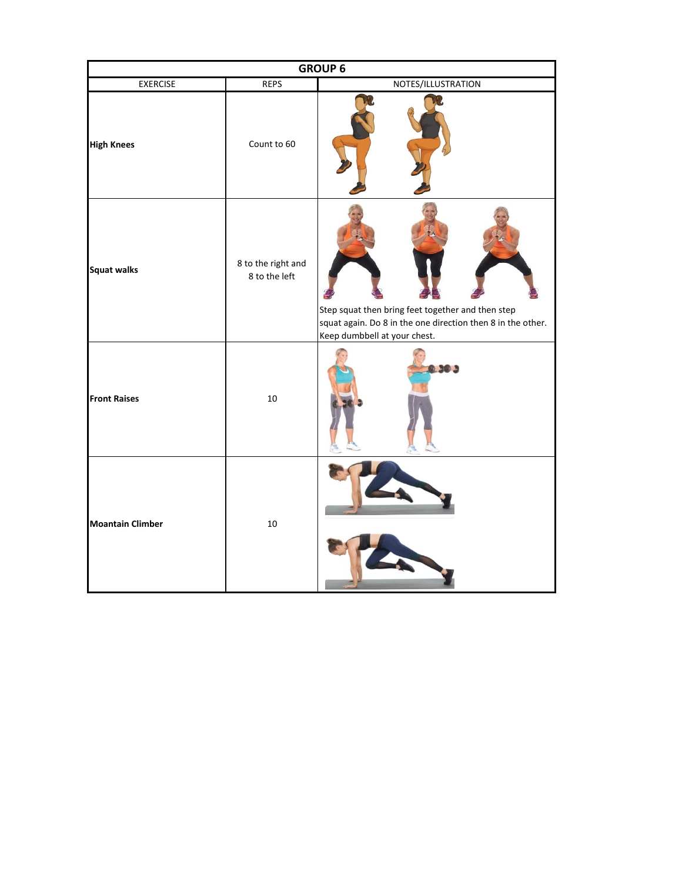| <b>GROUP 6</b>          |                                     |                                                                                                                                                  |
|-------------------------|-------------------------------------|--------------------------------------------------------------------------------------------------------------------------------------------------|
| <b>EXERCISE</b>         | <b>REPS</b>                         | NOTES/ILLUSTRATION                                                                                                                               |
| <b>High Knees</b>       | Count to 60                         |                                                                                                                                                  |
| <b>Squat walks</b>      | 8 to the right and<br>8 to the left | Step squat then bring feet together and then step<br>squat again. Do 8 in the one direction then 8 in the other.<br>Keep dumbbell at your chest. |
| <b>Front Raises</b>     | $10\,$                              | $-1$ and $-1$                                                                                                                                    |
| <b>Moantain Climber</b> | $10\,$                              |                                                                                                                                                  |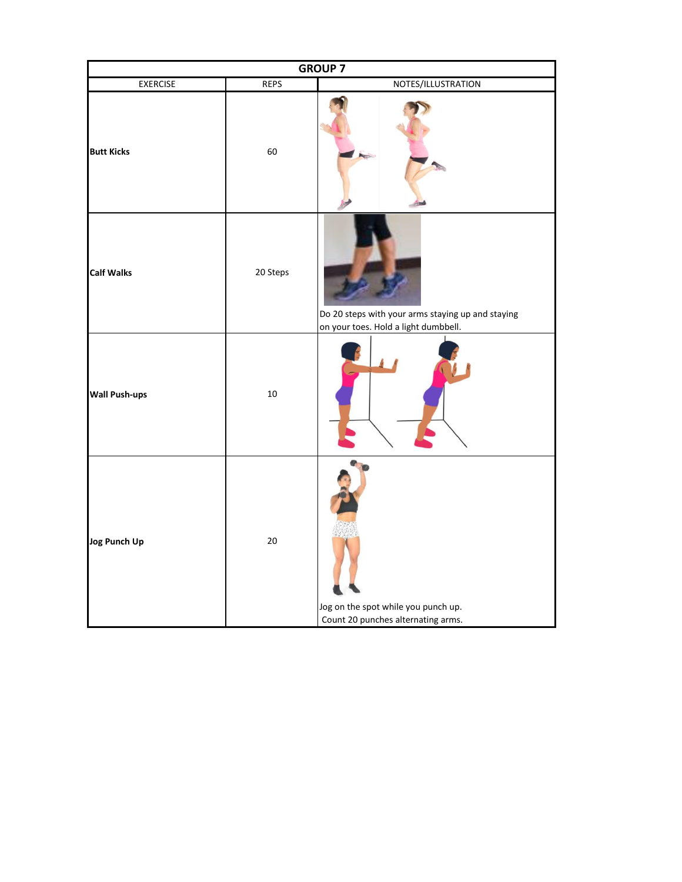| <b>GROUP 7</b>       |             |                                                                                           |
|----------------------|-------------|-------------------------------------------------------------------------------------------|
| <b>EXERCISE</b>      | <b>REPS</b> | NOTES/ILLUSTRATION                                                                        |
| <b>Butt Kicks</b>    | 60          |                                                                                           |
| <b>Calf Walks</b>    | 20 Steps    | Do 20 steps with your arms staying up and staying<br>on your toes. Hold a light dumbbell. |
| <b>Wall Push-ups</b> | 10          |                                                                                           |
| <b>Jog Punch Up</b>  | $20\,$      | Jog on the spot while you punch up.<br>Count 20 punches alternating arms.                 |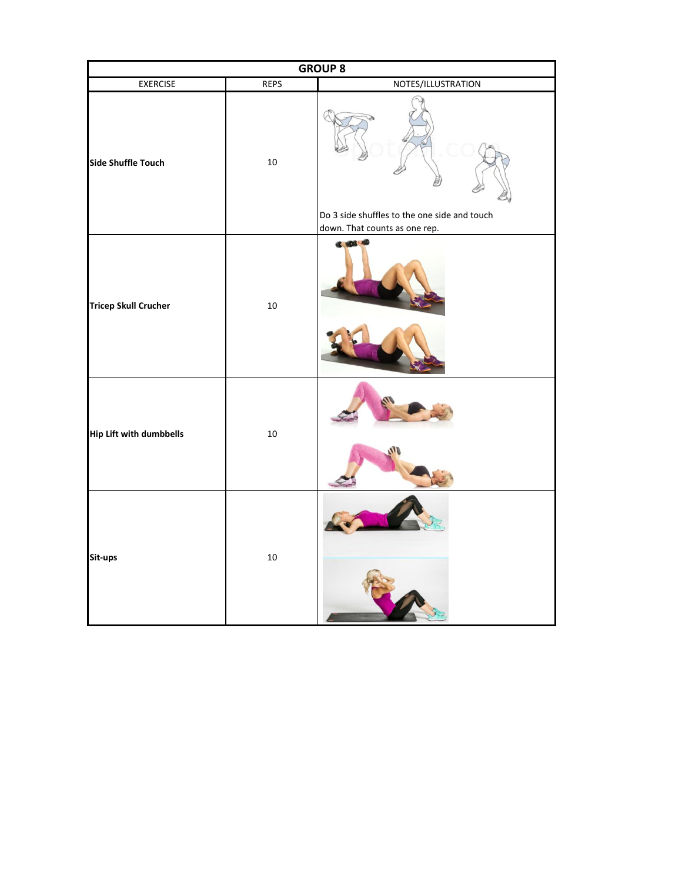| <b>GROUP 8</b>                 |             |                                                                               |
|--------------------------------|-------------|-------------------------------------------------------------------------------|
| <b>EXERCISE</b>                | <b>REPS</b> | NOTES/ILLUSTRATION                                                            |
| <b>Side Shuffle Touch</b>      | $10\,$      | Do 3 side shuffles to the one side and touch<br>down. That counts as one rep. |
| <b>Tricep Skull Crucher</b>    | $10\,$      | <b>C 103 40</b>                                                               |
| <b>Hip Lift with dumbbells</b> | $10\,$      |                                                                               |
| Sit-ups                        | $10\,$      |                                                                               |